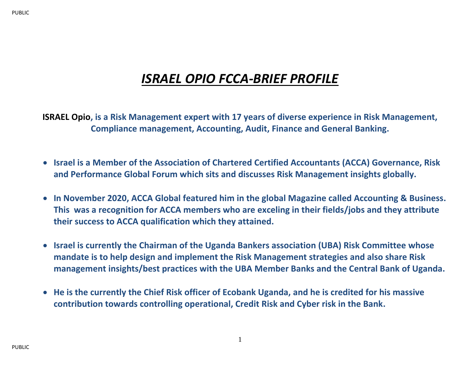## *ISRAEL OPIO FCCA-BRIEF PROFILE*

**ISRAEL Opio, is a Risk Management expert with 17 years of diverse experience in Risk Management, Compliance management, Accounting, Audit, Finance and General Banking.**

- **Israel is a Member of the Association of Chartered Certified Accountants (ACCA) Governance, Risk and Performance Global Forum which sits and discusses Risk Management insights globally.**
- **In November 2020, ACCA Global featured him in the global Magazine called Accounting & Business. This was a recognition for ACCA members who are exceling in their fields/jobs and they attribute their success to ACCA qualification which they attained.**
- **Israel is currently the Chairman of the Uganda Bankers association (UBA) Risk Committee whose mandate is to help design and implement the Risk Management strategies and also share Risk management insights/best practices with the UBA Member Banks and the Central Bank of Uganda.**
- **He is the currently the Chief Risk officer of Ecobank Uganda, and he is credited for his massive contribution towards controlling operational, Credit Risk and Cyber risk in the Bank.**

1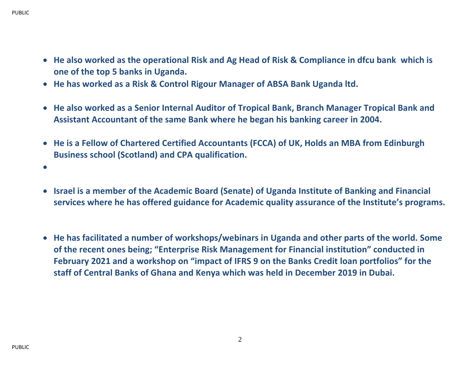- **He also worked as the operational Risk and Ag Head of Risk & Compliance in dfcu bank which is one of the top 5 banks in Uganda.**
- **He has worked as a Risk & Control Rigour Manager of ABSA Bank Uganda ltd.**
- **He also worked as a Senior Internal Auditor of Tropical Bank, Branch Manager Tropical Bank and Assistant Accountant of the same Bank where he began his banking career in 2004.**
- **He is a Fellow of Chartered Certified Accountants (FCCA) of UK, Holds an MBA from Edinburgh Business school (Scotland) and CPA qualification.**
- •
- **Israel is a member of the Academic Board (Senate) of Uganda Institute of Banking and Financial services where he has offered guidance for Academic quality assurance of the Institute's programs.**
- **He has facilitated a number of workshops/webinars in Uganda and other parts of the world. Some of the recent ones being; "Enterprise Risk Management for Financial institution" conducted in February 2021 and a workshop on "impact of IFRS 9 on the Banks Credit loan portfolios" for the staff of Central Banks of Ghana and Kenya which was held in December 2019 in Dubai.**